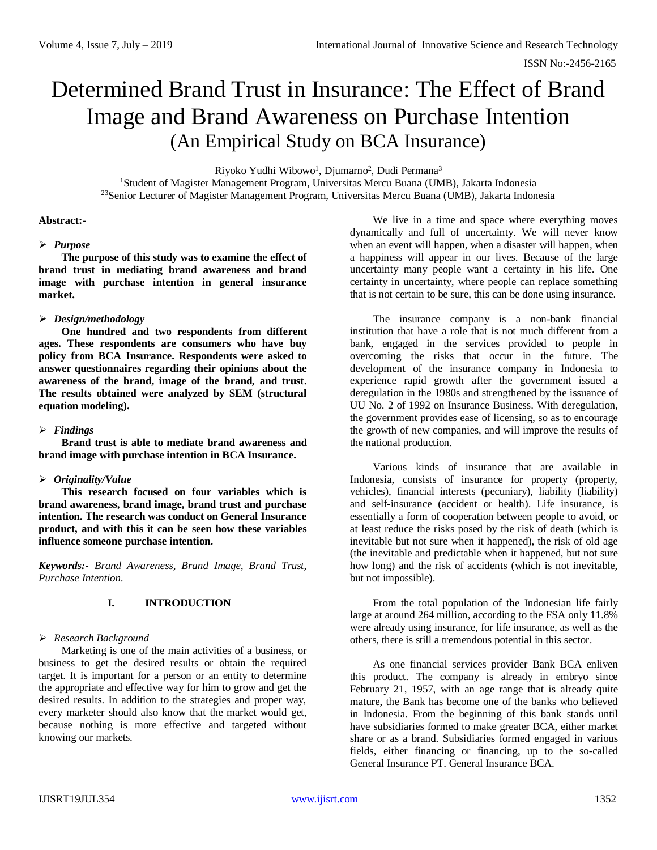# Determined Brand Trust in Insurance: The Effect of Brand Image and Brand Awareness on Purchase Intention (An Empirical Study on BCA Insurance)

Riyoko Yudhi Wibowo<sup>1</sup>, Djumarno<sup>2</sup>, Dudi Permana<sup>3</sup>

<sup>1</sup>Student of Magister Management Program, Universitas Mercu Buana (UMB), Jakarta Indonesia <sup>23</sup>Senior Lecturer of Magister Management Program, Universitas Mercu Buana (UMB), Jakarta Indonesia

#### **Abstract:-**

## *Purpose*

**The purpose of this study was to examine the effect of brand trust in mediating brand awareness and brand image with purchase intention in general insurance market.**

## *Design/methodology*

**One hundred and two respondents from different ages. These respondents are consumers who have buy policy from BCA Insurance. Respondents were asked to answer questionnaires regarding their opinions about the awareness of the brand, image of the brand, and trust. The results obtained were analyzed by SEM (structural equation modeling).**

# *Findings*

**Brand trust is able to mediate brand awareness and brand image with purchase intention in BCA Insurance.**

# *Originality/Value*

**This research focused on four variables which is brand awareness, brand image, brand trust and purchase intention. The research was conduct on General Insurance product, and with this it can be seen how these variables influence someone purchase intention.**

*Keywords:- Brand Awareness, Brand Image, Brand Trust, Purchase Intention.*

# **I. INTRODUCTION**

# *Research Background*

Marketing is one of the main activities of a business, or business to get the desired results or obtain the required target. It is important for a person or an entity to determine the appropriate and effective way for him to grow and get the desired results. In addition to the strategies and proper way, every marketer should also know that the market would get, because nothing is more effective and targeted without knowing our markets.

We live in a time and space where everything moves dynamically and full of uncertainty. We will never know when an event will happen, when a disaster will happen, when a happiness will appear in our lives. Because of the large uncertainty many people want a certainty in his life. One certainty in uncertainty, where people can replace something that is not certain to be sure, this can be done using insurance.

The insurance company is a non-bank financial institution that have a role that is not much different from a bank, engaged in the services provided to people in overcoming the risks that occur in the future. The development of the insurance company in Indonesia to experience rapid growth after the government issued a deregulation in the 1980s and strengthened by the issuance of UU No. 2 of 1992 on Insurance Business. With deregulation, the government provides ease of licensing, so as to encourage the growth of new companies, and will improve the results of the national production.

Various kinds of insurance that are available in Indonesia, consists of insurance for property (property, vehicles), financial interests (pecuniary), liability (liability) and self-insurance (accident or health). Life insurance, is essentially a form of cooperation between people to avoid, or at least reduce the risks posed by the risk of death (which is inevitable but not sure when it happened), the risk of old age (the inevitable and predictable when it happened, but not sure how long) and the risk of accidents (which is not inevitable, but not impossible).

From the total population of the Indonesian life fairly large at around 264 million, according to the FSA only 11.8% were already using insurance, for life insurance, as well as the others, there is still a tremendous potential in this sector.

As one financial services provider Bank BCA enliven this product. The company is already in embryo since February 21, 1957, with an age range that is already quite mature, the Bank has become one of the banks who believed in Indonesia. From the beginning of this bank stands until have subsidiaries formed to make greater BCA, either market share or as a brand. Subsidiaries formed engaged in various fields, either financing or financing, up to the so-called General Insurance PT. General Insurance BCA.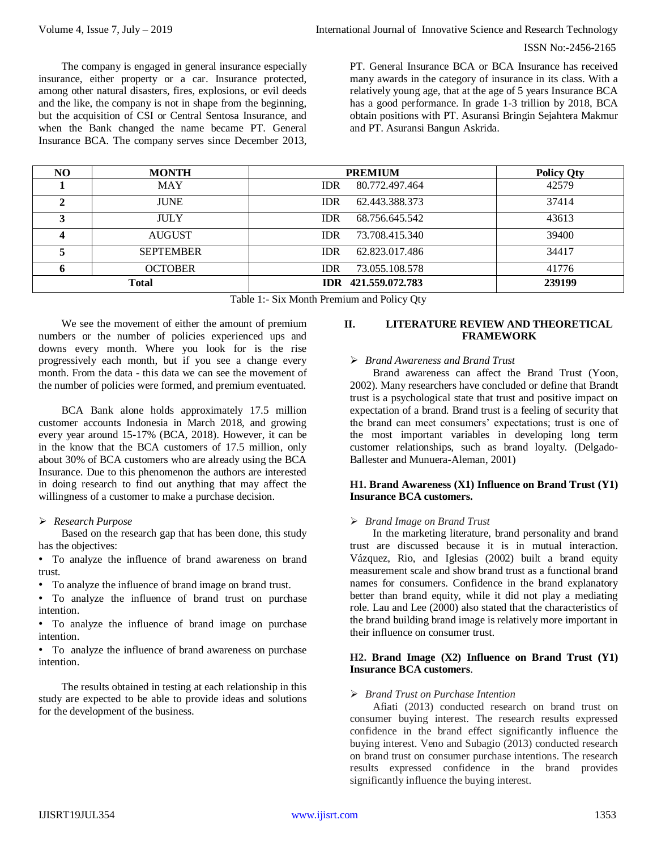ISSN No:-2456-2165

The company is engaged in general insurance especially insurance, either property or a car. Insurance protected, among other natural disasters, fires, explosions, or evil deeds and the like, the company is not in shape from the beginning, but the acquisition of CSI or Central Sentosa Insurance, and when the Bank changed the name became PT. General Insurance BCA. The company serves since December 2013,

PT. General Insurance BCA or BCA Insurance has received many awards in the category of insurance in its class. With a relatively young age, that at the age of 5 years Insurance BCA has a good performance. In grade 1-3 trillion by 2018, BCA obtain positions with PT. Asuransi Bringin Sejahtera Makmur and PT. Asuransi Bangun Askrida.

| NO. | <b>MONTH</b>     | <b>PREMIUM</b>               | <b>Policy Qty</b> |
|-----|------------------|------------------------------|-------------------|
|     | <b>MAY</b>       | 80.772.497.464<br><b>IDR</b> | 42579             |
|     | <b>JUNE</b>      | <b>IDR</b><br>62.443.388.373 | 37414             |
|     | <b>JULY</b>      | 68.756.645.542<br><b>IDR</b> | 43613             |
|     | <b>AUGUST</b>    | <b>IDR</b><br>73.708.415.340 | 39400             |
|     | <b>SEPTEMBER</b> | <b>IDR</b><br>62.823.017.486 | 34417             |
|     | <b>OCTOBER</b>   | <b>IDR</b><br>73.055.108.578 | 41776             |
|     | <b>Total</b>     | IDR 421,559,072,783          | 239199            |

Table 1:- Six Month Premium and Policy Qty

We see the movement of either the amount of premium numbers or the number of policies experienced ups and downs every month. Where you look for is the rise progressively each month, but if you see a change every month. From the data - this data we can see the movement of the number of policies were formed, and premium eventuated.

BCA Bank alone holds approximately 17.5 million customer accounts Indonesia in March 2018, and growing every year around 15-17% (BCA, 2018). However, it can be in the know that the BCA customers of 17.5 million, only about 30% of BCA customers who are already using the BCA Insurance. Due to this phenomenon the authors are interested in doing research to find out anything that may affect the willingness of a customer to make a purchase decision.

#### *Research Purpose*

Based on the research gap that has been done, this study has the objectives:

• To analyze the influence of brand awareness on brand trust.

• To analyze the influence of brand image on brand trust.

• To analyze the influence of brand trust on purchase intention.

• To analyze the influence of brand image on purchase intention.

• To analyze the influence of brand awareness on purchase intention.

The results obtained in testing at each relationship in this study are expected to be able to provide ideas and solutions for the development of the business.

## **II. LITERATURE REVIEW AND THEORETICAL FRAMEWORK**

#### *Brand Awareness and Brand Trust*

Brand awareness can affect the Brand Trust (Yoon, 2002). Many researchers have concluded or define that Brandt trust is a psychological state that trust and positive impact on expectation of a brand. Brand trust is a feeling of security that the brand can meet consumers' expectations; trust is one of the most important variables in developing long term customer relationships, such as brand loyalty. (Delgado-Ballester and Munuera-Aleman, 2001)

#### **H1. Brand Awareness (X1) Influence on Brand Trust (Y1) Insurance BCA customers.**

#### *Brand Image on Brand Trust*

In the marketing literature, brand personality and brand trust are discussed because it is in mutual interaction. Vázquez, Rio, and Iglesias (2002) built a brand equity measurement scale and show brand trust as a functional brand names for consumers. Confidence in the brand explanatory better than brand equity, while it did not play a mediating role. Lau and Lee (2000) also stated that the characteristics of the brand building brand image is relatively more important in their influence on consumer trust.

#### **H2. Brand Image (X2) Influence on Brand Trust (Y1) Insurance BCA customers**.

#### *Brand Trust on Purchase Intention*

Afiati (2013) conducted research on brand trust on consumer buying interest. The research results expressed confidence in the brand effect significantly influence the buying interest. Veno and Subagio (2013) conducted research on brand trust on consumer purchase intentions. The research results expressed confidence in the brand provides significantly influence the buying interest.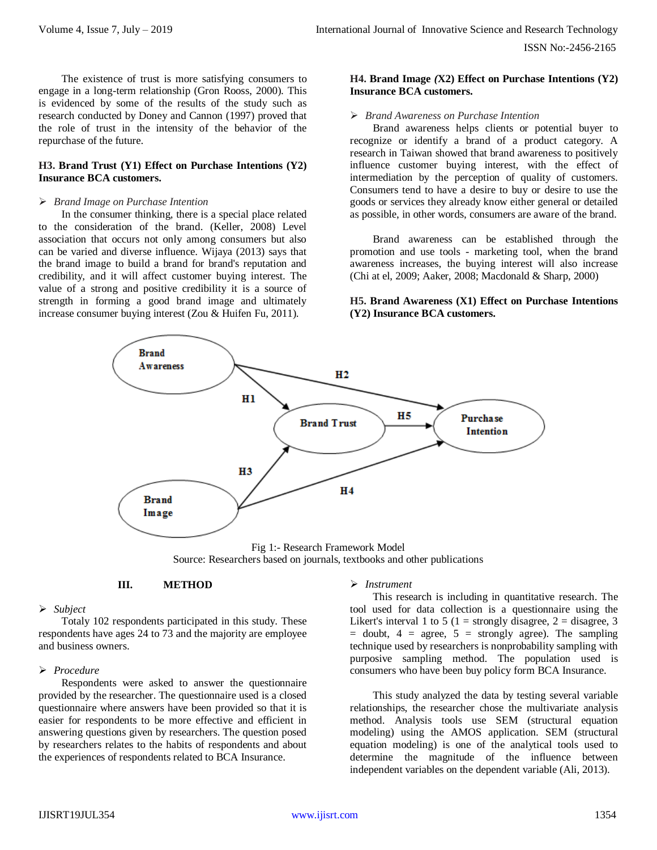The existence of trust is more satisfying consumers to engage in a long-term relationship (Gron Rooss, 2000). This is evidenced by some of the results of the study such as research conducted by Doney and Cannon (1997) proved that the role of trust in the intensity of the behavior of the repurchase of the future.

# **H3. Brand Trust (Y1) Effect on Purchase Intentions (Y2) Insurance BCA customers.**

#### *Brand Image on Purchase Intention*

In the consumer thinking, there is a special place related to the consideration of the brand. (Keller, 2008) Level association that occurs not only among consumers but also can be varied and diverse influence. Wijaya (2013) says that the brand image to build a brand for brand's reputation and credibility, and it will affect customer buying interest. The value of a strong and positive credibility it is a source of strength in forming a good brand image and ultimately increase consumer buying interest (Zou & Huifen Fu, 2011).

## **H4. Brand Image** *(***X2) Effect on Purchase Intentions (Y2) Insurance BCA customers.**

#### *Brand Awareness on Purchase Intention*

Brand awareness helps clients or potential buyer to recognize or identify a brand of a product category. A research in Taiwan showed that brand awareness to positively influence customer buying interest, with the effect of intermediation by the perception of quality of customers. Consumers tend to have a desire to buy or desire to use the goods or services they already know either general or detailed as possible, in other words, consumers are aware of the brand.

Brand awareness can be established through the promotion and use tools - marketing tool, when the brand awareness increases, the buying interest will also increase (Chi at el, 2009; Aaker, 2008; Macdonald & Sharp, 2000)

# **H5. Brand Awareness (X1) Effect on Purchase Intentions (Y2) Insurance BCA customers.**



Fig 1:- Research Framework Model Source: Researchers based on journals, textbooks and other publications

#### **III. METHOD**

#### *Subject*

Totaly 102 respondents participated in this study. These respondents have ages 24 to 73 and the majority are employee and business owners.

## *Procedure*

Respondents were asked to answer the questionnaire provided by the researcher. The questionnaire used is a closed questionnaire where answers have been provided so that it is easier for respondents to be more effective and efficient in answering questions given by researchers. The question posed by researchers relates to the habits of respondents and about the experiences of respondents related to BCA Insurance.

# *Instrument*

This research is including in quantitative research. The tool used for data collection is a questionnaire using the Likert's interval 1 to 5 (1 = strongly disagree, 2 = disagree, 3  $=$  doubt,  $4 = \text{agree}$ ,  $5 = \text{strongly agree}$ ). The sampling technique used by researchers is nonprobability sampling with purposive sampling method. The population used is consumers who have been buy policy form BCA Insurance.

This study analyzed the data by testing several variable relationships, the researcher chose the multivariate analysis method. Analysis tools use SEM (structural equation modeling) using the AMOS application. SEM (structural equation modeling) is one of the analytical tools used to determine the magnitude of the influence between independent variables on the dependent variable (Ali, 2013).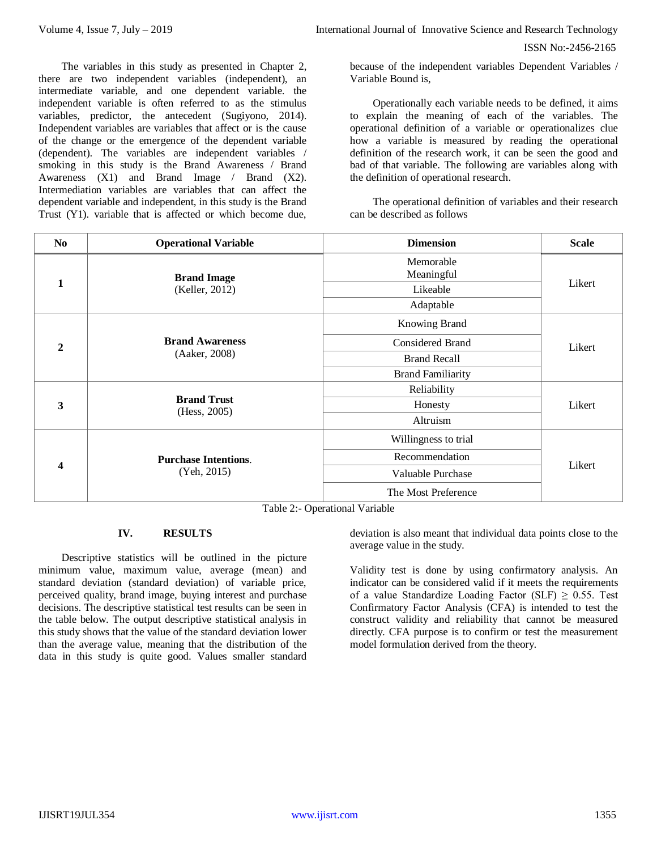Volume 4, Issue 7, July – 2019 **International Journal of Innovative Science and Research Technology** 

ISSN No:-2456-2165

The variables in this study as presented in Chapter 2, there are two independent variables (independent), an intermediate variable, and one dependent variable. the independent variable is often referred to as the stimulus variables, predictor, the antecedent (Sugiyono, 2014). Independent variables are variables that affect or is the cause of the change or the emergence of the dependent variable (dependent). The variables are independent variables / smoking in this study is the Brand Awareness / Brand Awareness (X1) and Brand Image / Brand (X2). Intermediation variables are variables that can affect the dependent variable and independent, in this study is the Brand Trust (Y1). variable that is affected or which become due,

because of the independent variables Dependent Variables / Variable Bound is,

Operationally each variable needs to be defined, it aims to explain the meaning of each of the variables. The operational definition of a variable or operationalizes clue how a variable is measured by reading the operational definition of the research work, it can be seen the good and bad of that variable. The following are variables along with the definition of operational research.

The operational definition of variables and their research can be described as follows

| N <sub>0</sub> | <b>Operational Variable</b>                | <b>Dimension</b>         | <b>Scale</b> |
|----------------|--------------------------------------------|--------------------------|--------------|
|                | <b>Brand Image</b>                         | Memorable<br>Meaningful  | Likert       |
| 1              | (Keller, 2012)                             | Likeable                 |              |
|                |                                            | Adaptable                |              |
|                |                                            | Knowing Brand            |              |
| $\mathbf{2}$   | <b>Brand Awareness</b>                     | Considered Brand         | Likert       |
|                | (Aaker, 2008)                              | <b>Brand Recall</b>      |              |
|                |                                            | <b>Brand Familiarity</b> |              |
|                |                                            | Reliability              |              |
| 3              | <b>Brand Trust</b><br>(Hess, 2005)         | Honesty                  | Likert       |
|                |                                            | Altruism                 |              |
| 4              |                                            | Willingness to trial     | Likert       |
|                | <b>Purchase Intentions.</b><br>(Yeh, 2015) | Recommendation           |              |
|                |                                            | Valuable Purchase        |              |
|                |                                            | The Most Preference      |              |

Table 2:- Operational Variable

# **IV. RESULTS**

Descriptive statistics will be outlined in the picture minimum value, maximum value, average (mean) and standard deviation (standard deviation) of variable price, perceived quality, brand image, buying interest and purchase decisions. The descriptive statistical test results can be seen in the table below. The output descriptive statistical analysis in this study shows that the value of the standard deviation lower than the average value, meaning that the distribution of the data in this study is quite good. Values smaller standard deviation is also meant that individual data points close to the average value in the study.

Validity test is done by using confirmatory analysis. An indicator can be considered valid if it meets the requirements of a value Standardize Loading Factor (SLF)  $\geq$  0.55. Test Confirmatory Factor Analysis (CFA) is intended to test the construct validity and reliability that cannot be measured directly. CFA purpose is to confirm or test the measurement model formulation derived from the theory.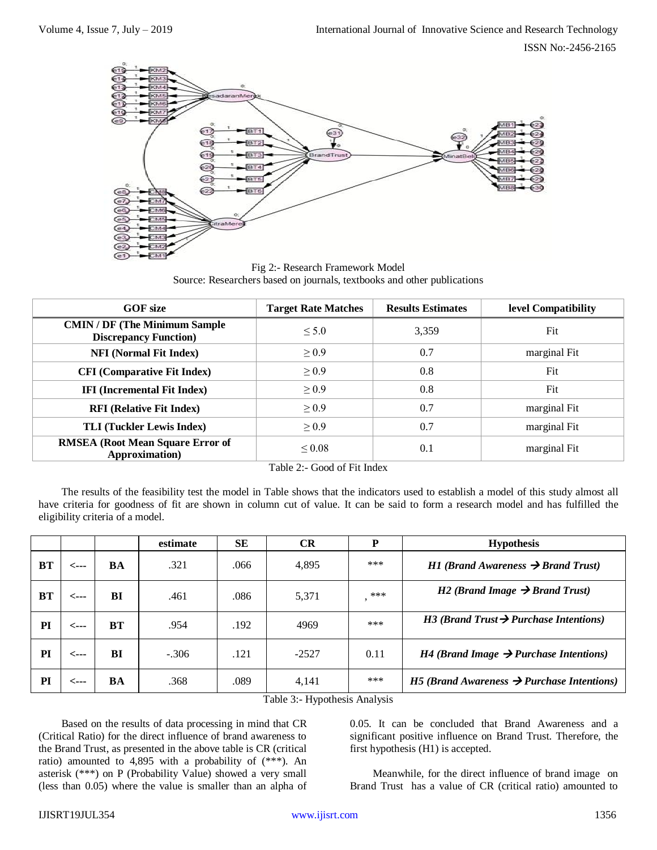

Fig 2:- Research Framework Model Source: Researchers based on journals, textbooks and other publications

| <b>GOF</b> size                                                        | <b>Target Rate Matches</b> | <b>Results Estimates</b> | level Compatibility |
|------------------------------------------------------------------------|----------------------------|--------------------------|---------------------|
| <b>CMIN / DF (The Minimum Sample)</b><br><b>Discrepancy Function</b> ) | < 5.0                      | 3,359                    | Fit                 |
| <b>NFI (Normal Fit Index)</b>                                          | $\geq 0.9$                 | 0.7                      | marginal Fit        |
| <b>CFI</b> (Comparative Fit Index)                                     | $\geq 0.9$                 | 0.8                      | Fit                 |
| <b>IFI</b> (Incremental Fit Index)                                     | $\geq 0.9$                 | 0.8                      | Fit                 |
| <b>RFI (Relative Fit Index)</b>                                        | > 0.9                      | 0.7                      | marginal Fit        |
| <b>TLI (Tuckler Lewis Index)</b>                                       | > 0.9                      | 0.7                      | marginal Fit        |
| <b>RMSEA</b> (Root Mean Square Error of<br>Approximation)              | $\leq 0.08$                | 0.1                      | marginal Fit        |

Table 2:- Good of Fit Index

The results of the feasibility test the model in Table shows that the indicators used to establish a model of this study almost all have criteria for goodness of fit are shown in column cut of value. It can be said to form a research model and has fulfilled the eligibility criteria of a model.

|           |      |    | estimate | <b>SE</b> | <b>CR</b> | P    | <b>Hypothesis</b>                                      |
|-----------|------|----|----------|-----------|-----------|------|--------------------------------------------------------|
| <b>BT</b> | <--- | BA | .321     | .066      | 4,895     | ***  | $H1$ (Brand Awareness $\rightarrow$ Brand Trust)       |
| <b>BT</b> | <--- | BI | .461     | .086      | 5,371     | ***  | $H2$ (Brand Image $\rightarrow$ Brand Trust)           |
| PI        | <--- | BT | .954     | .192      | 4969      | ***  | $H3$ (Brand Trust $\rightarrow$ Purchase Intentions)   |
| PI        | <--- | BI | $-.306$  | .121      | $-2527$   | 0.11 | $H4$ (Brand Image $\rightarrow$ Purchase Intentions)   |
| PI        | <--- | BA | .368     | .089      | 4,141     | ***  | H5 (Brand Awareness $\rightarrow$ Purchase Intentions) |

Table 3:- Hypothesis Analysis

Based on the results of data processing in mind that CR (Critical Ratio) for the direct influence of brand awareness to the Brand Trust, as presented in the above table is CR (critical ratio) amounted to 4,895 with a probability of (\*\*\*). An asterisk (\*\*\*) on P (Probability Value) showed a very small (less than 0.05) where the value is smaller than an alpha of 0.05. It can be concluded that Brand Awareness and a significant positive influence on Brand Trust. Therefore, the first hypothesis (H1) is accepted.

Meanwhile, for the direct influence of brand image on Brand Trust has a value of CR (critical ratio) amounted to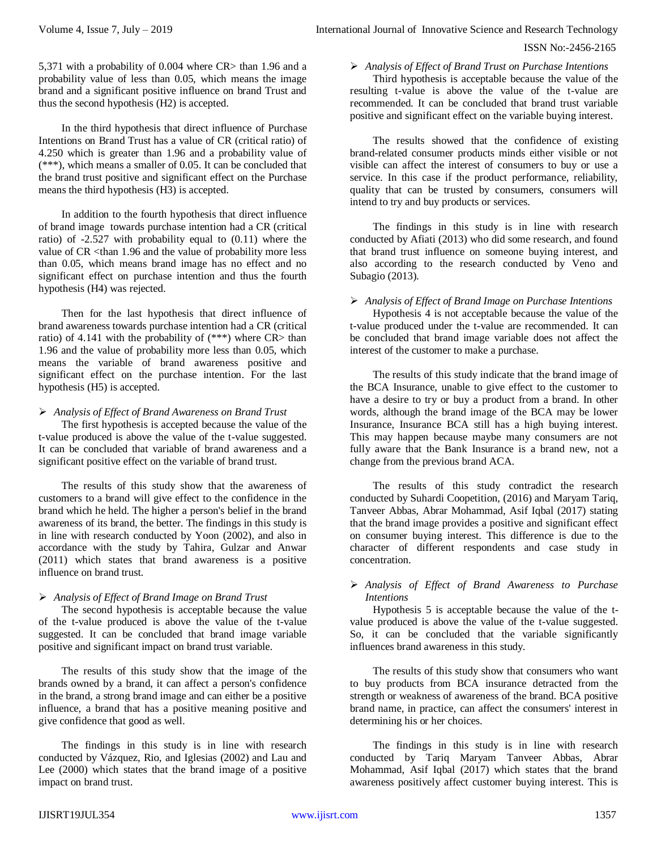5,371 with a probability of 0.004 where CR> than 1.96 and a probability value of less than 0.05, which means the image brand and a significant positive influence on brand Trust and thus the second hypothesis (H2) is accepted.

In the third hypothesis that direct influence of Purchase Intentions on Brand Trust has a value of CR (critical ratio) of 4.250 which is greater than 1.96 and a probability value of (\*\*\*), which means a smaller of 0.05. It can be concluded that the brand trust positive and significant effect on the Purchase means the third hypothesis (H3) is accepted.

In addition to the fourth hypothesis that direct influence of brand image towards purchase intention had a CR (critical ratio) of -2.527 with probability equal to (0.11) where the value of CR <than 1.96 and the value of probability more less than 0.05, which means brand image has no effect and no significant effect on purchase intention and thus the fourth hypothesis (H4) was rejected.

Then for the last hypothesis that direct influence of brand awareness towards purchase intention had a CR (critical ratio) of 4.141 with the probability of  $(***)$  where CR> than 1.96 and the value of probability more less than 0.05, which means the variable of brand awareness positive and significant effect on the purchase intention. For the last hypothesis (H5) is accepted.

## *Analysis of Effect of Brand Awareness on Brand Trust*

The first hypothesis is accepted because the value of the t-value produced is above the value of the t-value suggested. It can be concluded that variable of brand awareness and a significant positive effect on the variable of brand trust.

The results of this study show that the awareness of customers to a brand will give effect to the confidence in the brand which he held. The higher a person's belief in the brand awareness of its brand, the better. The findings in this study is in line with research conducted by Yoon (2002), and also in accordance with the study by Tahira, Gulzar and Anwar (2011) which states that brand awareness is a positive influence on brand trust.

# *Analysis of Effect of Brand Image on Brand Trust*

The second hypothesis is acceptable because the value of the t-value produced is above the value of the t-value suggested. It can be concluded that brand image variable positive and significant impact on brand trust variable.

The results of this study show that the image of the brands owned by a brand, it can affect a person's confidence in the brand, a strong brand image and can either be a positive influence, a brand that has a positive meaning positive and give confidence that good as well.

The findings in this study is in line with research conducted by Vázquez, Rio, and Iglesias (2002) and Lau and Lee (2000) which states that the brand image of a positive impact on brand trust.

*Analysis of Effect of Brand Trust on Purchase Intentions*

Third hypothesis is acceptable because the value of the resulting t-value is above the value of the t-value are recommended. It can be concluded that brand trust variable positive and significant effect on the variable buying interest.

The results showed that the confidence of existing brand-related consumer products minds either visible or not visible can affect the interest of consumers to buy or use a service. In this case if the product performance, reliability, quality that can be trusted by consumers, consumers will intend to try and buy products or services.

The findings in this study is in line with research conducted by Afiati (2013) who did some research, and found that brand trust influence on someone buying interest, and also according to the research conducted by Veno and Subagio (2013).

# *Analysis of Effect of Brand Image on Purchase Intentions*

Hypothesis 4 is not acceptable because the value of the t-value produced under the t-value are recommended. It can be concluded that brand image variable does not affect the interest of the customer to make a purchase.

The results of this study indicate that the brand image of the BCA Insurance, unable to give effect to the customer to have a desire to try or buy a product from a brand. In other words, although the brand image of the BCA may be lower Insurance, Insurance BCA still has a high buying interest. This may happen because maybe many consumers are not fully aware that the Bank Insurance is a brand new, not a change from the previous brand ACA.

The results of this study contradict the research conducted by Suhardi Coopetition, (2016) and Maryam Tariq, Tanveer Abbas, Abrar Mohammad, Asif Iqbal (2017) stating that the brand image provides a positive and significant effect on consumer buying interest. This difference is due to the character of different respondents and case study in concentration.

## *Analysis of Effect of Brand Awareness to Purchase Intentions*

Hypothesis 5 is acceptable because the value of the tvalue produced is above the value of the t-value suggested. So, it can be concluded that the variable significantly influences brand awareness in this study.

The results of this study show that consumers who want to buy products from BCA insurance detracted from the strength or weakness of awareness of the brand. BCA positive brand name, in practice, can affect the consumers' interest in determining his or her choices.

The findings in this study is in line with research conducted by Tariq Maryam Tanveer Abbas, Abrar Mohammad, Asif Iqbal (2017) which states that the brand awareness positively affect customer buying interest. This is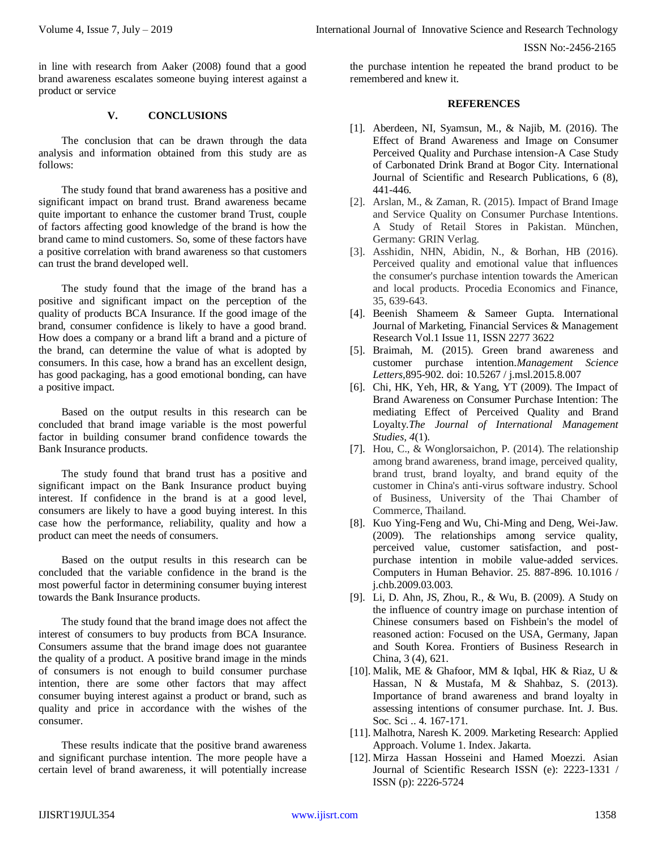ISSN No:-2456-2165

in line with research from Aaker (2008) found that a good brand awareness escalates someone buying interest against a product or service

#### **V. CONCLUSIONS**

The conclusion that can be drawn through the data analysis and information obtained from this study are as follows:

The study found that brand awareness has a positive and significant impact on brand trust. Brand awareness became quite important to enhance the customer brand Trust, couple of factors affecting good knowledge of the brand is how the brand came to mind customers. So, some of these factors have a positive correlation with brand awareness so that customers can trust the brand developed well.

The study found that the image of the brand has a positive and significant impact on the perception of the quality of products BCA Insurance. If the good image of the brand, consumer confidence is likely to have a good brand. How does a company or a brand lift a brand and a picture of the brand, can determine the value of what is adopted by consumers. In this case, how a brand has an excellent design, has good packaging, has a good emotional bonding, can have a positive impact.

Based on the output results in this research can be concluded that brand image variable is the most powerful factor in building consumer brand confidence towards the Bank Insurance products.

The study found that brand trust has a positive and significant impact on the Bank Insurance product buying interest. If confidence in the brand is at a good level, consumers are likely to have a good buying interest. In this case how the performance, reliability, quality and how a product can meet the needs of consumers.

Based on the output results in this research can be concluded that the variable confidence in the brand is the most powerful factor in determining consumer buying interest towards the Bank Insurance products.

The study found that the brand image does not affect the interest of consumers to buy products from BCA Insurance. Consumers assume that the brand image does not guarantee the quality of a product. A positive brand image in the minds of consumers is not enough to build consumer purchase intention, there are some other factors that may affect consumer buying interest against a product or brand, such as quality and price in accordance with the wishes of the consumer.

These results indicate that the positive brand awareness and significant purchase intention. The more people have a certain level of brand awareness, it will potentially increase

the purchase intention he repeated the brand product to be remembered and knew it.

#### **REFERENCES**

- [1]. Aberdeen, NI, Syamsun, M., & Najib, M. (2016). The Effect of Brand Awareness and Image on Consumer Perceived Quality and Purchase intension-A Case Study of Carbonated Drink Brand at Bogor City. International Journal of Scientific and Research Publications, 6 (8), 441-446.
- [2]. Arslan, M., & Zaman, R. (2015). Impact of Brand Image and Service Quality on Consumer Purchase Intentions. A Study of Retail Stores in Pakistan. München, Germany: GRIN Verlag.
- [3]. Asshidin, NHN, Abidin, N., & Borhan, HB (2016). Perceived quality and emotional value that influences the consumer's purchase intention towards the American and local products. Procedia Economics and Finance, 35, 639-643.
- [4]. Beenish Shameem & Sameer Gupta. International Journal of Marketing, Financial Services & Management Research Vol.1 Issue 11, ISSN 2277 3622
- [5]. Braimah, M. (2015). Green brand awareness and customer purchase intention.*Management Science Letters,*895-902. doi: 10.5267 / j.msl.2015.8.007
- [6]. Chi, HK, Yeh, HR, & Yang, YT (2009). The Impact of Brand Awareness on Consumer Purchase Intention: The mediating Effect of Perceived Quality and Brand Loyalty.*The Journal of International Management Studies, 4*(1).
- [7]. Hou, C., & Wonglorsaichon, P. (2014). The relationship among brand awareness, brand image, perceived quality, brand trust, brand loyalty, and brand equity of the customer in China's anti-virus software industry. School of Business, University of the Thai Chamber of Commerce, Thailand.
- [8]. Kuo Ying-Feng and Wu, Chi-Ming and Deng, Wei-Jaw. (2009). The relationships among service quality, perceived value, customer satisfaction, and postpurchase intention in mobile value-added services. Computers in Human Behavior. 25. 887-896. 10.1016 / j.chb.2009.03.003.
- [9]. Li, D. Ahn, JS, Zhou, R., & Wu, B. (2009). A Study on the influence of country image on purchase intention of Chinese consumers based on Fishbein's the model of reasoned action: Focused on the USA, Germany, Japan and South Korea. Frontiers of Business Research in China, 3 (4), 621.
- [10]. Malik, ME & Ghafoor, MM & Iqbal, HK & Riaz, U & Hassan, N & Mustafa, M & Shahbaz, S. (2013). Importance of brand awareness and brand loyalty in assessing intentions of consumer purchase. Int. J. Bus. Soc. Sci .. 4. 167-171.
- [11]. Malhotra, Naresh K. 2009. Marketing Research: Applied Approach. Volume 1. Index. Jakarta.
- [12]. Mirza Hassan Hosseini and Hamed Moezzi. Asian Journal of Scientific Research ISSN (e): 2223-1331 / ISSN (p): 2226-5724